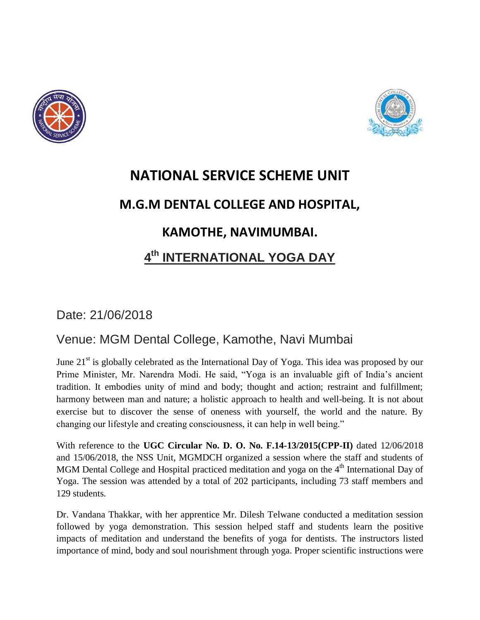



## **NATIONAL SERVICE SCHEME UNIT M.G.M DENTAL COLLEGE AND HOSPITAL, KAMOTHE, NAVIMUMBAI. 4 th INTERNATIONAL YOGA DAY**

Date: 21/06/2018

## Venue: MGM Dental College, Kamothe, Navi Mumbai

June  $21<sup>st</sup>$  is globally celebrated as the International Day of Yoga. This idea was proposed by our Prime Minister, Mr. Narendra Modi. He said, "Yoga is an invaluable gift of India's ancient tradition. It embodies unity of mind and body; thought and action; restraint and fulfillment; harmony between man and nature; a holistic approach to health and well-being. It is not about exercise but to discover the sense of oneness with yourself, the world and the nature. By changing our lifestyle and creating consciousness, it can help in well being."

With reference to the **UGC Circular No. D. O. No. F.14-13/2015(CPP-II)** dated 12/06/2018 and 15/06/2018, the NSS Unit, MGMDCH organized a session where the staff and students of MGM Dental College and Hospital practiced meditation and yoga on the  $4<sup>th</sup>$  International Day of Yoga. The session was attended by a total of 202 participants, including 73 staff members and 129 students.

Dr. Vandana Thakkar, with her apprentice Mr. Dilesh Telwane conducted a meditation session followed by yoga demonstration. This session helped staff and students learn the positive impacts of meditation and understand the benefits of yoga for dentists. The instructors listed importance of mind, body and soul nourishment through yoga. Proper scientific instructions were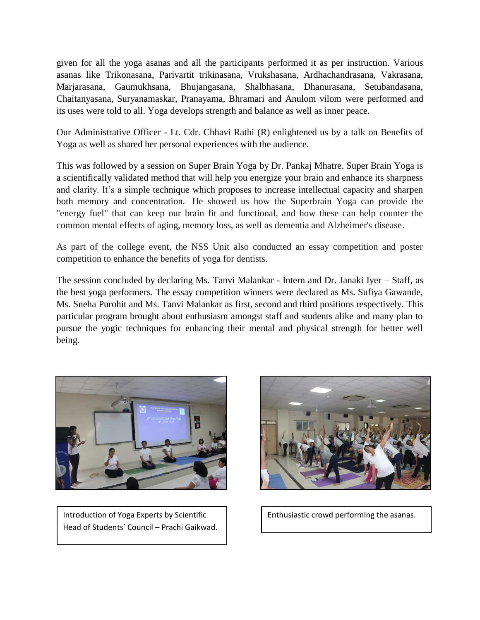given for all the yoga asanas and all the participants performed it as per instruction. Various asanas like Trikonasana, Parivartit trikinasana, Vrukshasana, Ardhachandrasana, Vakrasana, Marjarasana, Gaumukhsana, Bhujangasana, Shalbhasana, Dhanurasana, Setubandasana, Chaitanyasana, Suryanamaskar, Pranayama, Bhramari and Anulom vilom were performed and its uses were told to all. Yoga develops strength and balance as well as inner peace.

Our Administrative Officer - Lt. Cdr. Chhavi Rathi (R) enlightened us by a talk on Benefits of Yoga as well as shared her personal experiences with the audience.

This was followed by a session on Super Brain Yoga by Dr. Pankaj Mhatre. Super Brain Yoga is a scientifically validated method that will help you energize your brain and enhance its sharpness and clarity. It's a simple technique which proposes to increase intellectual capacity and sharpen both memory and concentration. He showed us how the Superbrain Yoga can provide the "energy fuel" that can keep our brain fit and functional, and how these can help counter the common mental effects of aging, memory loss, as well as dementia and Alzheimer's disease.

As part of the college event, the NSS Unit also conducted an essay competition and poster competition to enhance the benefits of yoga for dentists.

The session concluded by declaring Ms. Tanvi Malankar - Intern and Dr. Janaki Iyer – Staff, as the best yoga performers. The essay competition winners were declared as Ms. Sufiya Gawande, Ms. Sneha Purohit and Ms. Tanvi Malankar as first, second and third positions respectively. This particular program brought about enthusiasm amongst staff and students alike and many plan to pursue the yogic techniques for enhancing their mental and physical strength for better well being.



Introduction of Yoga Experts by Scientific Head of Students' Council – Prachi Gaikwad Head of Students' Council –Prachi Gaikwad.



Enthusiastic crowd performing the asanas.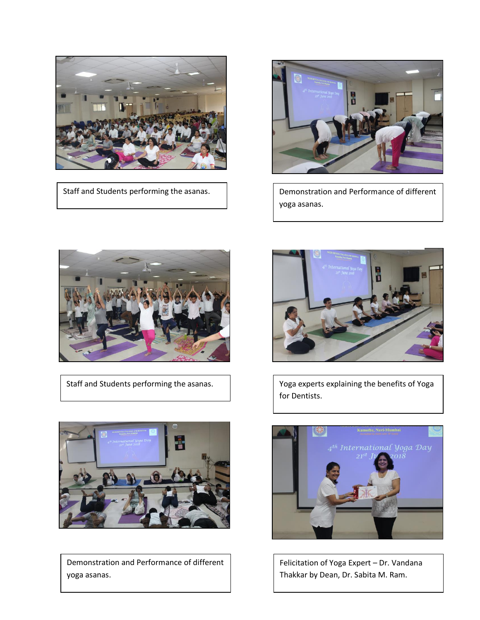

Staff and Students performing the asanas.  $\begin{vmatrix} 1 & 1 \\ 2 & 1 \end{vmatrix}$  Demonstration and Performance of different



yoga asanas.



Staff and Students performing the asanas.



Demonstration and Performance of different yoga asanas.



Yoga experts explaining the benefits of Yoga for Dentists.



Felicitation of Yoga Expert – Dr. Vandana Thakkar by Dean, Dr. Sabita M. Ram.